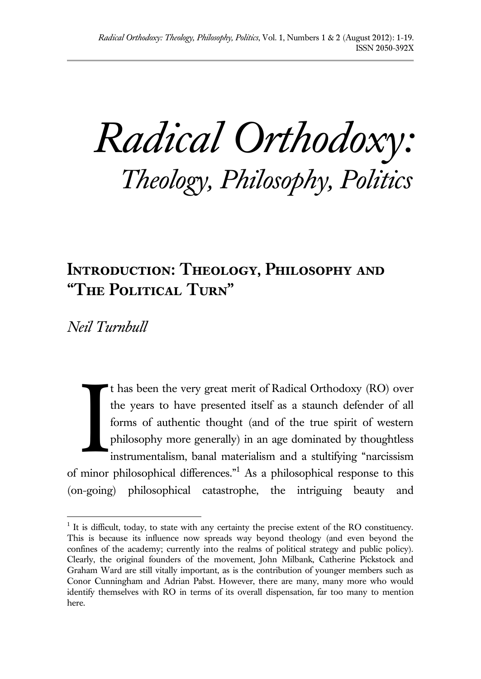*Radical Orthodoxy: Theology, Philosophy, Politics*

## **Introduction: Theology, Philosophy and "The Political Turn"**

*Neil Turnbull*

 $\overline{a}$ 

t has been the very great merit of Radical Orthodoxy (RO) over the years to have presented itself as a staunch defender of all forms of authentic thought (and of the true spirit of western philosophy more generally) in an age dominated by thoughtless instrumentalism, banal materialism and a stultifying "narcissism of minor philosophical differences."<sup>1</sup> As a philosophical response to this (on-going) philosophical catastrophe, the intriguing beauty and I

 $<sup>1</sup>$  It is difficult, today, to state with any certainty the precise extent of the RO constituency.</sup> This is because its influence now spreads way beyond theology (and even beyond the confines of the academy; currently into the realms of political strategy and public policy). Clearly, the original founders of the movement, John Milbank, Catherine Pickstock and Graham Ward are still vitally important, as is the contribution of younger members such as Conor Cunningham and Adrian Pabst. However, there are many, many more who would identify themselves with RO in terms of its overall dispensation, far too many to mention here.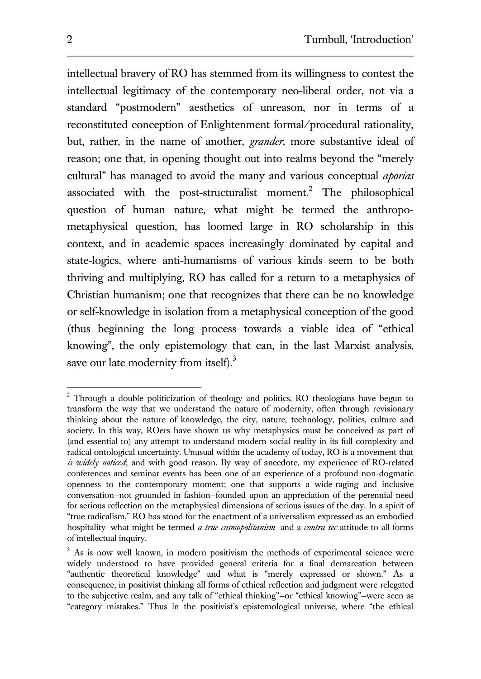intellectual bravery of RO has stemmed from its willingness to contest the intellectual legitimacy of the contemporary neo-liberal order, not via a standard "postmodern" aesthetics of unreason, nor in terms of a reconstituted conception of Enlightenment formal/procedural rationality, but, rather, in the name of another, *grander*, more substantive ideal of reason; one that, in opening thought out into realms beyond the "merely cultural" has managed to avoid the many and various conceptual *aporias* associated with the post-structuralist moment.<sup>2</sup> The philosophical question of human nature, what might be termed the anthropometaphysical question, has loomed large in RO scholarship in this context, and in academic spaces increasingly dominated by capital and state-logics, where anti-humanisms of various kinds seem to be both thriving and multiplying, RO has called for a return to a metaphysics of Christian humanism; one that recognizes that there can be no knowledge or self-knowledge in isolation from a metaphysical conception of the good (thus beginning the long process towards a viable idea of "ethical knowing", the only epistemology that can, in the last Marxist analysis, save our late modernity from itself).<sup>3</sup>

<sup>2</sup> Through a double politicization of theology and politics, RO theologians have begun to transform the way that we understand the nature of modernity, often through revisionary thinking about the nature of knowledge, the city, nature, technology, politics, culture and society. In this way, ROers have shown us why metaphysics must be conceived as part of (and essential to) any attempt to understand modern social reality in its full complexity and radical ontological uncertainty. Unusual within the academy of today, RO is a movement that *is widely noticed*; and with good reason. By way of anecdote, my experience of RO-related conferences and seminar events has been one of an experience of a profound non-dogmatic openness to the contemporary moment; one that supports a wide-raging and inclusive conversation—not grounded in fashion—founded upon an appreciation of the perennial need for serious reflection on the metaphysical dimensions of serious issues of the day. In a spirit of "true radicalism," RO has stood for the enactment of a universalism expressed as an embodied hospitality—what might be termed *a true cosmopolitanism*—and a *contra sec* attitude to all forms of intellectual inquiry.

<sup>&</sup>lt;sup>3</sup> As is now well known, in modern positivism the methods of experimental science were widely understood to have provided general criteria for a final demarcation between "authentic theoretical knowledge" and what is "merely expressed or shown." As a consequence, in positivist thinking all forms of ethical reflection and judgment were relegated to the subjective realm, and any talk of "ethical thinking"—or "ethical knowing"—were seen as "category mistakes." Thus in the positivist's epistemological universe, where "the ethical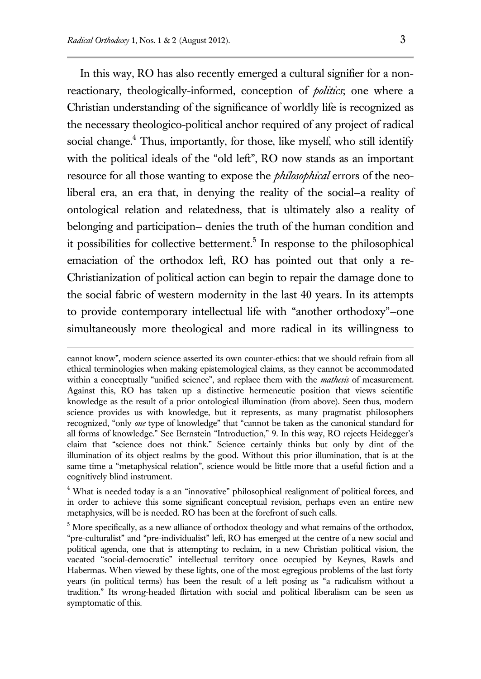$\overline{a}$ 

In this way, RO has also recently emerged a cultural signifier for a nonreactionary, theologically-informed, conception of *politics*; one where a Christian understanding of the significance of worldly life is recognized as the necessary theologico-political anchor required of any project of radical social change. $4$  Thus, importantly, for those, like myself, who still identify with the political ideals of the "old left", RO now stands as an important resource for all those wanting to expose the *philosophical* errors of the neoliberal era, an era that, in denying the reality of the social—a reality of ontological relation and relatedness, that is ultimately also a reality of belonging and participation— denies the truth of the human condition and it possibilities for collective betterment. 5 In response to the philosophical emaciation of the orthodox left, RO has pointed out that only a re-Christianization of political action can begin to repair the damage done to the social fabric of western modernity in the last 40 years. In its attempts to provide contemporary intellectual life with "another orthodoxy"—one simultaneously more theological and more radical in its willingness to

cannot know", modern science asserted its own counter-ethics: that we should refrain from all ethical terminologies when making epistemological claims, as they cannot be accommodated within a conceptually "unified science", and replace them with the *mathesis* of measurement. Against this, RO has taken up a distinctive hermeneutic position that views scientific knowledge as the result of a prior ontological illumination (from above). Seen thus, modern science provides us with knowledge, but it represents, as many pragmatist philosophers recognized, "only *one* type of knowledge" that "cannot be taken as the canonical standard for all forms of knowledge." See Bernstein "Introduction," 9. In this way, RO rejects Heidegger's claim that "science does not think." Science certainly thinks but only by dint of the illumination of its object realms by the good. Without this prior illumination, that is at the same time a "metaphysical relation", science would be little more that a useful fiction and a cognitively blind instrument.

<sup>&</sup>lt;sup>4</sup> What is needed today is a an "innovative" philosophical realignment of political forces, and in order to achieve this some significant conceptual revision, perhaps even an entire new metaphysics, will be is needed. RO has been at the forefront of such calls.

 $5$  More specifically, as a new alliance of orthodox theology and what remains of the orthodox, "pre-culturalist" and "pre-individualist" left, RO has emerged at the centre of a new social and political agenda, one that is attempting to reclaim, in a new Christian political vision, the vacated "social-democratic" intellectual territory once occupied by Keynes, Rawls and Habermas. When viewed by these lights, one of the most egregious problems of the last forty years (in political terms) has been the result of a left posing as "a radicalism without a tradition." Its wrong-headed flirtation with social and political liberalism can be seen as symptomatic of this.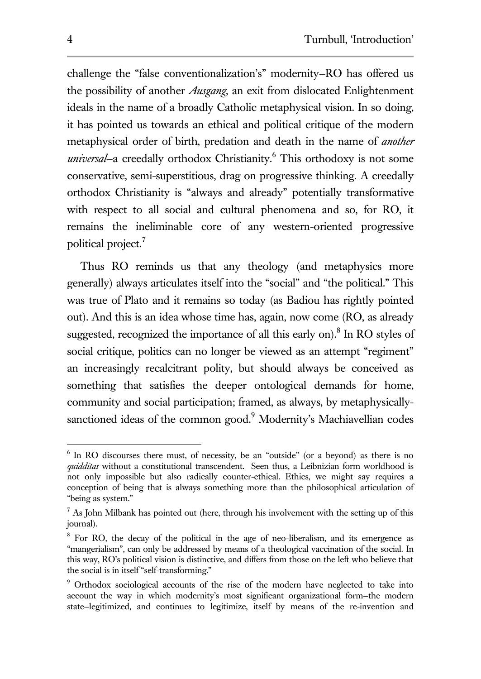challenge the "false conventionalization's" modernity—RO has offered us the possibility of another *Ausgang*, an exit from dislocated Enlightenment ideals in the name of a broadly Catholic metaphysical vision. In so doing, it has pointed us towards an ethical and political critique of the modern metaphysical order of birth, predation and death in the name of *another universal*—a creedally orthodox Christianity.<sup>6</sup> This orthodoxy is not some conservative, semi-superstitious, drag on progressive thinking. A creedally orthodox Christianity is "always and already" potentially transformative with respect to all social and cultural phenomena and so, for RO, it remains the ineliminable core of any western-oriented progressive political project.<sup>7</sup>

Thus RO reminds us that any theology (and metaphysics more generally) always articulates itself into the "social" and "the political." This was true of Plato and it remains so today (as Badiou has rightly pointed out). And this is an idea whose time has, again, now come (RO, as already suggested, recognized the importance of all this early on).<sup>8</sup> In RO styles of social critique, politics can no longer be viewed as an attempt "regiment" an increasingly recalcitrant polity, but should always be conceived as something that satisfies the deeper ontological demands for home, community and social participation; framed, as always, by metaphysicallysanctioned ideas of the common good.<sup>9</sup> Modernity's Machiavellian codes

 6 In RO discourses there must, of necessity, be an "outside" (or a beyond) as there is no *quidditas* without a constitutional transcendent. Seen thus, a Leibnizian form worldhood is not only impossible but also radically counter-ethical. Ethics, we might say requires a conception of being that is always something more than the philosophical articulation of "being as system."

 $<sup>7</sup>$  As John Milbank has pointed out (here, through his involvement with the setting up of this</sup> journal).

<sup>&</sup>lt;sup>8</sup> For RO, the decay of the political in the age of neo-liberalism, and its emergence as "mangerialism", can only be addressed by means of a theological vaccination of the social. In this way, RO's political vision is distinctive, and differs from those on the left who believe that the social is in itself "self-transforming."

<sup>&</sup>lt;sup>9</sup> Orthodox sociological accounts of the rise of the modern have neglected to take into account the way in which modernity's most significant organizational form—the modern state—legitimized, and continues to legitimize, itself by means of the re-invention and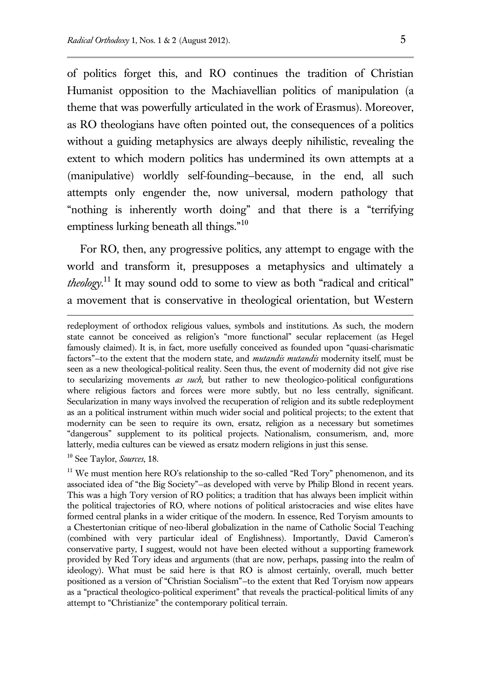of politics forget this, and RO continues the tradition of Christian Humanist opposition to the Machiavellian politics of manipulation (a theme that was powerfully articulated in the work of Erasmus). Moreover, as RO theologians have often pointed out, the consequences of a politics without a guiding metaphysics are always deeply nihilistic, revealing the extent to which modern politics has undermined its own attempts at a (manipulative) worldly self-founding—because, in the end, all such attempts only engender the, now universal, modern pathology that "nothing is inherently worth doing" and that there is a "terrifying emptiness lurking beneath all things."<sup>10</sup>

For RO, then, any progressive politics, any attempt to engage with the world and transform it, presupposes a metaphysics and ultimately a *theology*. <sup>11</sup> It may sound odd to some to view as both "radical and critical" a movement that is conservative in theological orientation, but Western

<sup>10</sup> See Taylor, *Sources*, 18.

redeployment of orthodox religious values, symbols and institutions. As such, the modern state cannot be conceived as religion's "more functional" secular replacement (as Hegel famously claimed). It is, in fact, more usefully conceived as founded upon "quasi-charismatic factors"—to the extent that the modern state, and *mutandis mutandis* modernity itself, must be seen as a new theological-political reality. Seen thus, the event of modernity did not give rise to secularizing movements *as such,* but rather to new theologico-political configurations where religious factors and forces were more subtly, but no less centrally, significant. Secularization in many ways involved the recuperation of religion and its subtle redeployment as an a political instrument within much wider social and political projects; to the extent that modernity can be seen to require its own, ersatz, religion as a necessary but sometimes "dangerous" supplement to its political projects. Nationalism, consumerism, and, more latterly, media cultures can be viewed as ersatz modern religions in just this sense.

 $11$  We must mention here RO's relationship to the so-called "Red Tory" phenomenon, and its associated idea of "the Big Society"—as developed with verve by Philip Blond in recent years. This was a high Tory version of RO politics; a tradition that has always been implicit within the political trajectories of RO, where notions of political aristocracies and wise elites have formed central planks in a wider critique of the modern. In essence, Red Toryism amounts to a Chestertonian critique of neo-liberal globalization in the name of Catholic Social Teaching (combined with very particular ideal of Englishness). Importantly, David Cameron's conservative party, I suggest, would not have been elected without a supporting framework provided by Red Tory ideas and arguments (that are now, perhaps, passing into the realm of ideology). What must be said here is that RO is almost certainly, overall, much better positioned as a version of "Christian Socialism"—to the extent that Red Toryism now appears as a "practical theologico-political experiment" that reveals the practical-political limits of any attempt to "Christianize" the contemporary political terrain.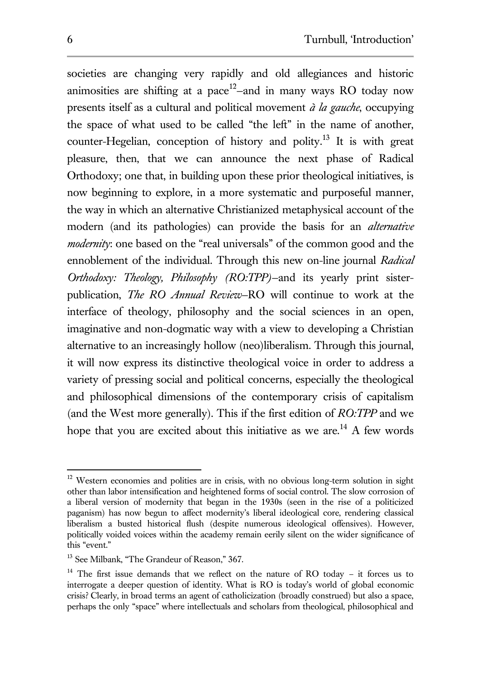societies are changing very rapidly and old allegiances and historic animosities are shifting at a pace<sup>12</sup>-and in many ways RO today now presents itself as a cultural and political movement *à la gauche*, occupying the space of what used to be called "the left" in the name of another, counter-Hegelian, conception of history and polity.<sup>13</sup> It is with great pleasure, then, that we can announce the next phase of Radical Orthodoxy; one that, in building upon these prior theological initiatives, is now beginning to explore, in a more systematic and purposeful manner, the way in which an alternative Christianized metaphysical account of the modern (and its pathologies) can provide the basis for an *alternative modernity*: one based on the "real universals" of the common good and the ennoblement of the individual. Through this new on-line journal *Radical Orthodoxy: Theology, Philosophy (RO:TPP)*—and its yearly print sisterpublication, *The RO Annual Review*—RO will continue to work at the interface of theology, philosophy and the social sciences in an open, imaginative and non-dogmatic way with a view to developing a Christian alternative to an increasingly hollow (neo)liberalism. Through this journal, it will now express its distinctive theological voice in order to address a variety of pressing social and political concerns, especially the theological and philosophical dimensions of the contemporary crisis of capitalism (and the West more generally). This if the first edition of *RO:TPP* and we hope that you are excited about this initiative as we are.<sup>14</sup> A few words

 $12$  Western economies and polities are in crisis, with no obvious long-term solution in sight other than labor intensification and heightened forms of social control. The slow corrosion of a liberal version of modernity that began in the 1930s (seen in the rise of a politicized paganism) has now begun to affect modernity's liberal ideological core, rendering classical liberalism a busted historical flush (despite numerous ideological offensives). However, politically voided voices within the academy remain eerily silent on the wider significance of this "event."

<sup>&</sup>lt;sup>13</sup> See Milbank, "The Grandeur of Reason," 367.

<sup>&</sup>lt;sup>14</sup> The first issue demands that we reflect on the nature of RO today - it forces us to interrogate a deeper question of identity. What is RO is today's world of global economic crisis? Clearly, in broad terms an agent of catholicization (broadly construed) but also a space, perhaps the only "space" where intellectuals and scholars from theological, philosophical and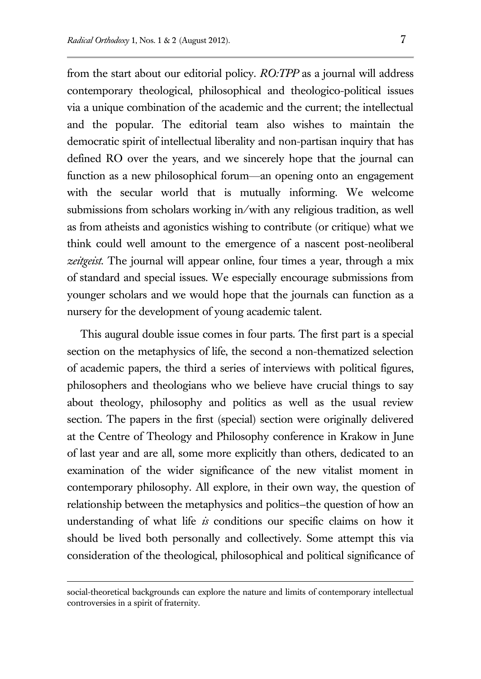from the start about our editorial policy. *RO:TPP* as a journal will address contemporary theological, philosophical and theologico-political issues via a unique combination of the academic and the current; the intellectual and the popular. The editorial team also wishes to maintain the democratic spirit of intellectual liberality and non-partisan inquiry that has defined RO over the years, and we sincerely hope that the journal can function as a new philosophical forum—an opening onto an engagement with the secular world that is mutually informing. We welcome submissions from scholars working in/with any religious tradition, as well as from atheists and agonistics wishing to contribute (or critique) what we think could well amount to the emergence of a nascent post-neoliberal *zeitgeist.* The journal will appear online, four times a year, through a mix of standard and special issues. We especially encourage submissions from younger scholars and we would hope that the journals can function as a nursery for the development of young academic talent.

This augural double issue comes in four parts. The first part is a special section on the metaphysics of life, the second a non-thematized selection of academic papers, the third a series of interviews with political figures, philosophers and theologians who we believe have crucial things to say about theology, philosophy and politics as well as the usual review section. The papers in the first (special) section were originally delivered at the Centre of Theology and Philosophy conference in Krakow in June of last year and are all, some more explicitly than others, dedicated to an examination of the wider significance of the new vitalist moment in contemporary philosophy. All explore, in their own way, the question of relationship between the metaphysics and politics—the question of how an understanding of what life *is* conditions our specific claims on how it should be lived both personally and collectively. Some attempt this via consideration of the theological, philosophical and political significance of

social-theoretical backgrounds can explore the nature and limits of contemporary intellectual controversies in a spirit of fraternity.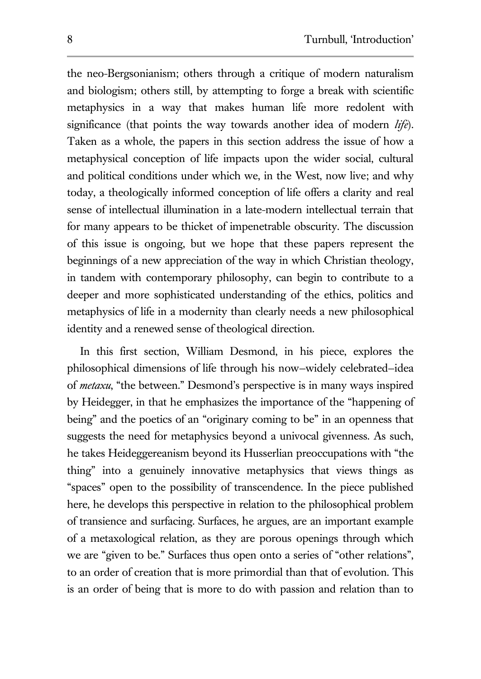the neo-Bergsonianism; others through a critique of modern naturalism and biologism; others still, by attempting to forge a break with scientific metaphysics in a way that makes human life more redolent with significance (that points the way towards another idea of modern *life*). Taken as a whole, the papers in this section address the issue of how a metaphysical conception of life impacts upon the wider social, cultural and political conditions under which we, in the West, now live; and why today, a theologically informed conception of life offers a clarity and real sense of intellectual illumination in a late-modern intellectual terrain that for many appears to be thicket of impenetrable obscurity. The discussion of this issue is ongoing, but we hope that these papers represent the beginnings of a new appreciation of the way in which Christian theology, in tandem with contemporary philosophy, can begin to contribute to a deeper and more sophisticated understanding of the ethics, politics and metaphysics of life in a modernity than clearly needs a new philosophical identity and a renewed sense of theological direction.

In this first section, William Desmond, in his piece, explores the philosophical dimensions of life through his now—widely celebrated—idea of *metaxu*, "the between." Desmond's perspective is in many ways inspired by Heidegger, in that he emphasizes the importance of the "happening of being" and the poetics of an "originary coming to be" in an openness that suggests the need for metaphysics beyond a univocal givenness. As such, he takes Heideggereanism beyond its Husserlian preoccupations with "the thing" into a genuinely innovative metaphysics that views things as "spaces" open to the possibility of transcendence. In the piece published here, he develops this perspective in relation to the philosophical problem of transience and surfacing. Surfaces, he argues, are an important example of a metaxological relation, as they are porous openings through which we are "given to be." Surfaces thus open onto a series of "other relations", to an order of creation that is more primordial than that of evolution. This is an order of being that is more to do with passion and relation than to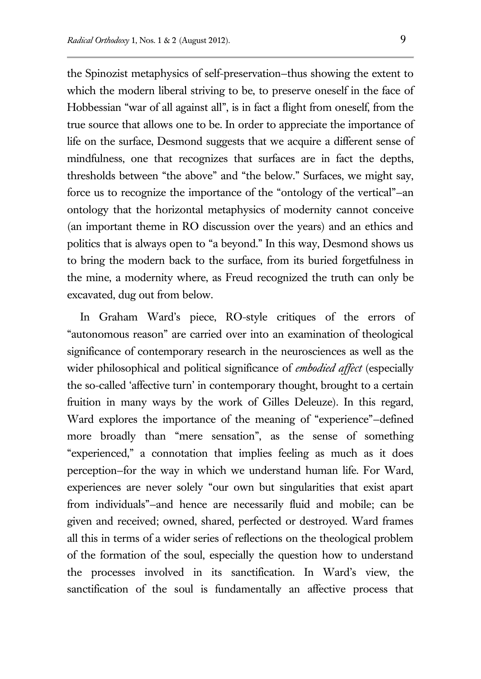the Spinozist metaphysics of self-preservation—thus showing the extent to which the modern liberal striving to be, to preserve oneself in the face of Hobbessian "war of all against all", is in fact a flight from oneself, from the true source that allows one to be. In order to appreciate the importance of life on the surface, Desmond suggests that we acquire a different sense of mindfulness, one that recognizes that surfaces are in fact the depths, thresholds between "the above" and "the below." Surfaces, we might say, force us to recognize the importance of the "ontology of the vertical"—an ontology that the horizontal metaphysics of modernity cannot conceive (an important theme in RO discussion over the years) and an ethics and politics that is always open to "a beyond." In this way, Desmond shows us to bring the modern back to the surface, from its buried forgetfulness in the mine, a modernity where, as Freud recognized the truth can only be excavated, dug out from below.

In Graham Ward's piece, RO-style critiques of the errors of "autonomous reason" are carried over into an examination of theological significance of contemporary research in the neurosciences as well as the wider philosophical and political significance of *embodied affect* (especially the so-called 'affective turn' in contemporary thought, brought to a certain fruition in many ways by the work of Gilles Deleuze). In this regard, Ward explores the importance of the meaning of "experience"—defined more broadly than "mere sensation", as the sense of something "experienced," a connotation that implies feeling as much as it does perception—for the way in which we understand human life. For Ward, experiences are never solely "our own but singularities that exist apart from individuals"—and hence are necessarily fluid and mobile; can be given and received; owned, shared, perfected or destroyed. Ward frames all this in terms of a wider series of reflections on the theological problem of the formation of the soul, especially the question how to understand the processes involved in its sanctification. In Ward's view, the sanctification of the soul is fundamentally an affective process that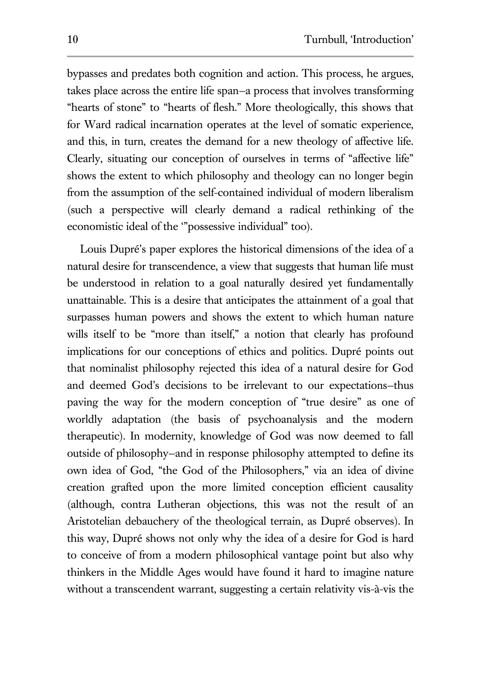bypasses and predates both cognition and action. This process, he argues, takes place across the entire life span—a process that involves transforming "hearts of stone" to "hearts of flesh." More theologically, this shows that for Ward radical incarnation operates at the level of somatic experience, and this, in turn, creates the demand for a new theology of affective life. Clearly, situating our conception of ourselves in terms of "affective life" shows the extent to which philosophy and theology can no longer begin from the assumption of the self-contained individual of modern liberalism (such a perspective will clearly demand a radical rethinking of the economistic ideal of the '"possessive individual" too).

Louis Dupré's paper explores the historical dimensions of the idea of a natural desire for transcendence, a view that suggests that human life must be understood in relation to a goal naturally desired yet fundamentally unattainable. This is a desire that anticipates the attainment of a goal that surpasses human powers and shows the extent to which human nature wills itself to be "more than itself," a notion that clearly has profound implications for our conceptions of ethics and politics. Dupré points out that nominalist philosophy rejected this idea of a natural desire for God and deemed God's decisions to be irrelevant to our expectations—thus paving the way for the modern conception of "true desire" as one of worldly adaptation (the basis of psychoanalysis and the modern therapeutic). In modernity, knowledge of God was now deemed to fall outside of philosophy—and in response philosophy attempted to define its own idea of God, "the God of the Philosophers," via an idea of divine creation grafted upon the more limited conception efficient causality (although, contra Lutheran objections, this was not the result of an Aristotelian debauchery of the theological terrain, as Dupré observes). In this way, Dupré shows not only why the idea of a desire for God is hard to conceive of from a modern philosophical vantage point but also why thinkers in the Middle Ages would have found it hard to imagine nature without a transcendent warrant, suggesting a certain relativity vis-à-vis the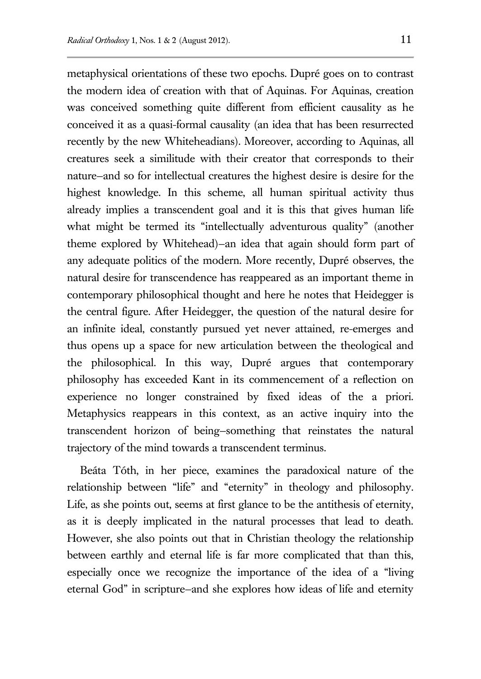metaphysical orientations of these two epochs. Dupré goes on to contrast the modern idea of creation with that of Aquinas. For Aquinas, creation was conceived something quite different from efficient causality as he conceived it as a quasi-formal causality (an idea that has been resurrected recently by the new Whiteheadians). Moreover, according to Aquinas, all creatures seek a similitude with their creator that corresponds to their nature—and so for intellectual creatures the highest desire is desire for the highest knowledge. In this scheme, all human spiritual activity thus already implies a transcendent goal and it is this that gives human life what might be termed its "intellectually adventurous quality" (another theme explored by Whitehead)—an idea that again should form part of any adequate politics of the modern. More recently, Dupré observes, the natural desire for transcendence has reappeared as an important theme in contemporary philosophical thought and here he notes that Heidegger is the central figure. After Heidegger, the question of the natural desire for an infinite ideal, constantly pursued yet never attained, re-emerges and thus opens up a space for new articulation between the theological and the philosophical. In this way, Dupré argues that contemporary philosophy has exceeded Kant in its commencement of a reflection on experience no longer constrained by fixed ideas of the a priori. Metaphysics reappears in this context, as an active inquiry into the transcendent horizon of being—something that reinstates the natural trajectory of the mind towards a transcendent terminus.

Beáta Tóth, in her piece, examines the paradoxical nature of the relationship between "life" and "eternity" in theology and philosophy. Life, as she points out, seems at first glance to be the antithesis of eternity, as it is deeply implicated in the natural processes that lead to death. However, she also points out that in Christian theology the relationship between earthly and eternal life is far more complicated that than this, especially once we recognize the importance of the idea of a "living eternal God" in scripture—and she explores how ideas of life and eternity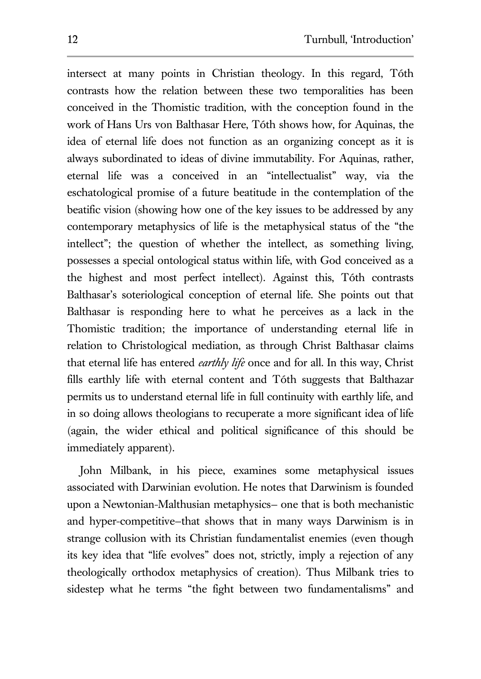intersect at many points in Christian theology. In this regard, Tóth contrasts how the relation between these two temporalities has been conceived in the Thomistic tradition, with the conception found in the work of Hans Urs von Balthasar Here, Tóth shows how, for Aquinas, the idea of eternal life does not function as an organizing concept as it is always subordinated to ideas of divine immutability. For Aquinas, rather, eternal life was a conceived in an "intellectualist" way, via the eschatological promise of a future beatitude in the contemplation of the beatific vision (showing how one of the key issues to be addressed by any contemporary metaphysics of life is the metaphysical status of the "the intellect"; the question of whether the intellect, as something living, possesses a special ontological status within life, with God conceived as a the highest and most perfect intellect). Against this, Tóth contrasts Balthasar's soteriological conception of eternal life. She points out that Balthasar is responding here to what he perceives as a lack in the Thomistic tradition; the importance of understanding eternal life in relation to Christological mediation, as through Christ Balthasar claims that eternal life has entered *earthly life* once and for all. In this way, Christ fills earthly life with eternal content and Tóth suggests that Balthazar permits us to understand eternal life in full continuity with earthly life, and in so doing allows theologians to recuperate a more significant idea of life (again, the wider ethical and political significance of this should be immediately apparent).

John Milbank, in his piece, examines some metaphysical issues associated with Darwinian evolution. He notes that Darwinism is founded upon a Newtonian-Malthusian metaphysics— one that is both mechanistic and hyper-competitive—that shows that in many ways Darwinism is in strange collusion with its Christian fundamentalist enemies (even though its key idea that "life evolves" does not, strictly, imply a rejection of any theologically orthodox metaphysics of creation). Thus Milbank tries to sidestep what he terms "the fight between two fundamentalisms" and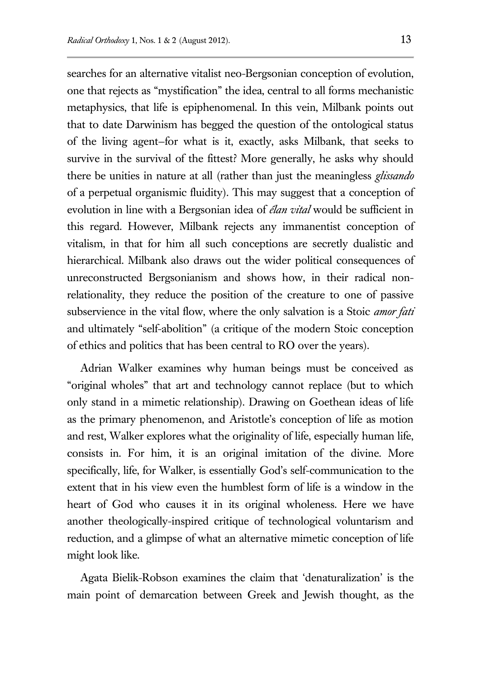searches for an alternative vitalist neo-Bergsonian conception of evolution, one that rejects as "mystification" the idea, central to all forms mechanistic metaphysics, that life is epiphenomenal. In this vein, Milbank points out that to date Darwinism has begged the question of the ontological status of the living agent—for what is it, exactly, asks Milbank, that seeks to survive in the survival of the fittest? More generally, he asks why should there be unities in nature at all (rather than just the meaningless *glissando* of a perpetual organismic fluidity). This may suggest that a conception of evolution in line with a Bergsonian idea of *élan vital* would be sufficient in this regard. However, Milbank rejects any immanentist conception of vitalism, in that for him all such conceptions are secretly dualistic and hierarchical. Milbank also draws out the wider political consequences of unreconstructed Bergsonianism and shows how, in their radical nonrelationality, they reduce the position of the creature to one of passive subservience in the vital flow, where the only salvation is a Stoic *amor fati* and ultimately "self-abolition" (a critique of the modern Stoic conception of ethics and politics that has been central to RO over the years).

Adrian Walker examines why human beings must be conceived as "original wholes" that art and technology cannot replace (but to which only stand in a mimetic relationship). Drawing on Goethean ideas of life as the primary phenomenon, and Aristotle's conception of life as motion and rest, Walker explores what the originality of life, especially human life, consists in. For him, it is an original imitation of the divine. More specifically, life, for Walker, is essentially God's self-communication to the extent that in his view even the humblest form of life is a window in the heart of God who causes it in its original wholeness. Here we have another theologically-inspired critique of technological voluntarism and reduction, and a glimpse of what an alternative mimetic conception of life might look like.

Agata Bielik-Robson examines the claim that 'denaturalization' is the main point of demarcation between Greek and Jewish thought, as the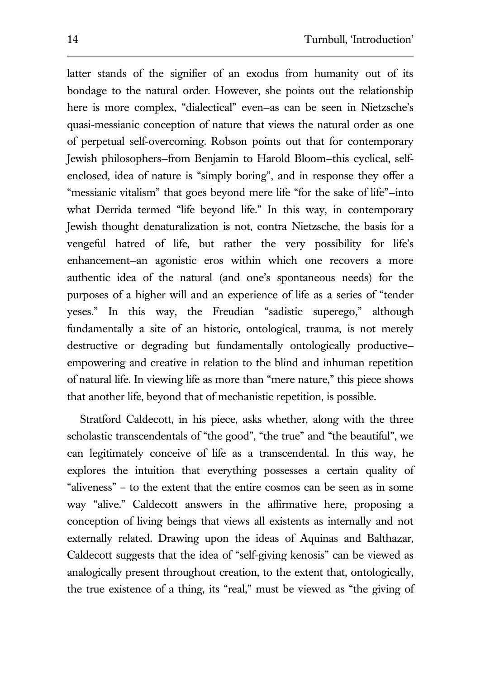latter stands of the signifier of an exodus from humanity out of its bondage to the natural order. However, she points out the relationship here is more complex, "dialectical" even—as can be seen in Nietzsche's quasi-messianic conception of nature that views the natural order as one of perpetual self-overcoming. Robson points out that for contemporary Jewish philosophers—from Benjamin to Harold Bloom—this cyclical, selfenclosed, idea of nature is "simply boring", and in response they offer a "messianic vitalism" that goes beyond mere life "for the sake of life"—into what Derrida termed "life beyond life." In this way, in contemporary Jewish thought denaturalization is not, contra Nietzsche, the basis for a vengeful hatred of life, but rather the very possibility for life's enhancement—an agonistic eros within which one recovers a more authentic idea of the natural (and one's spontaneous needs) for the purposes of a higher will and an experience of life as a series of "tender yeses." In this way, the Freudian "sadistic superego," although fundamentally a site of an historic, ontological, trauma, is not merely destructive or degrading but fundamentally ontologically productive empowering and creative in relation to the blind and inhuman repetition of natural life. In viewing life as more than "mere nature," this piece shows that another life, beyond that of mechanistic repetition, is possible.

Stratford Caldecott, in his piece, asks whether, along with the three scholastic transcendentals of "the good", "the true" and "the beautiful", we can legitimately conceive of life as a transcendental. In this way, he explores the intuition that everything possesses a certain quality of "aliveness" – to the extent that the entire cosmos can be seen as in some way "alive." Caldecott answers in the affirmative here, proposing a conception of living beings that views all existents as internally and not externally related. Drawing upon the ideas of Aquinas and Balthazar, Caldecott suggests that the idea of "self-giving kenosis" can be viewed as analogically present throughout creation, to the extent that, ontologically, the true existence of a thing, its "real," must be viewed as "the giving of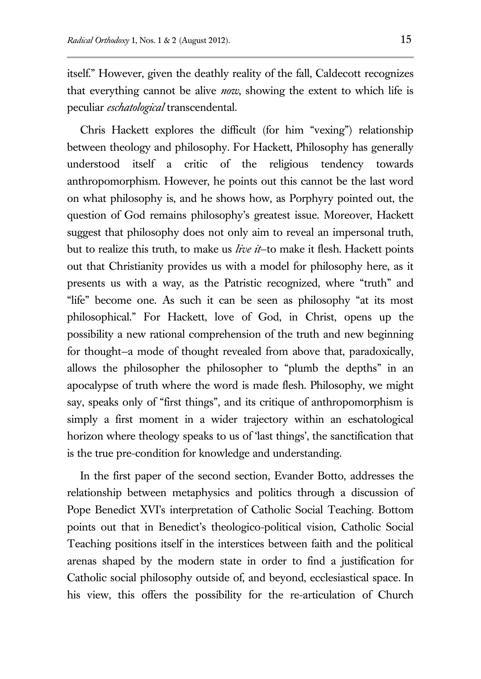itself." However, given the deathly reality of the fall, Caldecott recognizes that everything cannot be alive *now*, showing the extent to which life is peculiar *eschatological* transcendental.

Chris Hackett explores the difficult (for him "vexing") relationship between theology and philosophy. For Hackett, Philosophy has generally understood itself a critic of the religious tendency towards anthropomorphism. However, he points out this cannot be the last word on what philosophy is, and he shows how, as Porphyry pointed out, the question of God remains philosophy's greatest issue. Moreover, Hackett suggest that philosophy does not only aim to reveal an impersonal truth, but to realize this truth, to make us *live it*—to make it flesh. Hackett points out that Christianity provides us with a model for philosophy here, as it presents us with a way, as the Patristic recognized, where "truth" and "life" become one. As such it can be seen as philosophy "at its most philosophical." For Hackett, love of God, in Christ, opens up the possibility a new rational comprehension of the truth and new beginning for thought—a mode of thought revealed from above that, paradoxically, allows the philosopher the philosopher to "plumb the depths" in an apocalypse of truth where the word is made flesh. Philosophy, we might say, speaks only of "first things", and its critique of anthropomorphism is simply a first moment in a wider trajectory within an eschatological horizon where theology speaks to us of 'last things', the sanctification that is the true pre-condition for knowledge and understanding.

In the first paper of the second section, Evander Botto, addresses the relationship between metaphysics and politics through a discussion of Pope Benedict XVI's interpretation of Catholic Social Teaching. Bottom points out that in Benedict's theologico-political vision, Catholic Social Teaching positions itself in the interstices between faith and the political arenas shaped by the modern state in order to find a justification for Catholic social philosophy outside of, and beyond, ecclesiastical space. In his view, this offers the possibility for the re-articulation of Church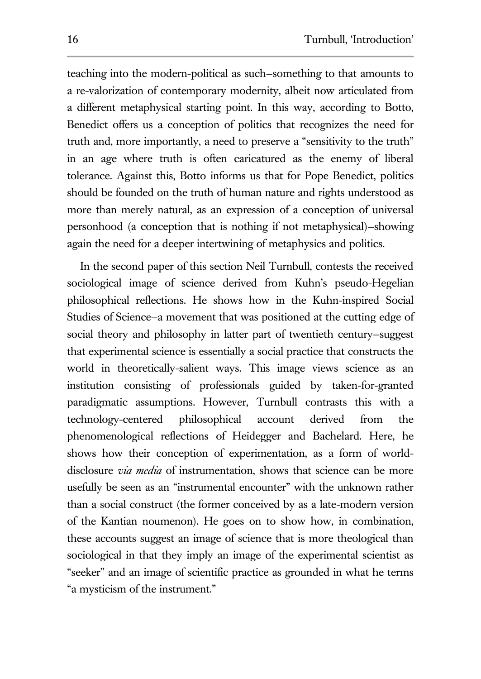teaching into the modern-political as such—something to that amounts to a re-valorization of contemporary modernity, albeit now articulated from a different metaphysical starting point. In this way, according to Botto, Benedict offers us a conception of politics that recognizes the need for truth and, more importantly, a need to preserve a "sensitivity to the truth" in an age where truth is often caricatured as the enemy of liberal tolerance. Against this, Botto informs us that for Pope Benedict, politics should be founded on the truth of human nature and rights understood as more than merely natural, as an expression of a conception of universal personhood (a conception that is nothing if not metaphysical)—showing again the need for a deeper intertwining of metaphysics and politics.

In the second paper of this section Neil Turnbull, contests the received sociological image of science derived from Kuhn's pseudo-Hegelian philosophical reflections. He shows how in the Kuhn-inspired Social Studies of Science—a movement that was positioned at the cutting edge of social theory and philosophy in latter part of twentieth century—suggest that experimental science is essentially a social practice that constructs the world in theoretically-salient ways. This image views science as an institution consisting of professionals guided by taken-for-granted paradigmatic assumptions. However, Turnbull contrasts this with a technology-centered philosophical account derived from the phenomenological reflections of Heidegger and Bachelard. Here, he shows how their conception of experimentation, as a form of worlddisclosure *via media* of instrumentation, shows that science can be more usefully be seen as an "instrumental encounter" with the unknown rather than a social construct (the former conceived by as a late-modern version of the Kantian noumenon). He goes on to show how, in combination, these accounts suggest an image of science that is more theological than sociological in that they imply an image of the experimental scientist as "seeker" and an image of scientific practice as grounded in what he terms "a mysticism of the instrument."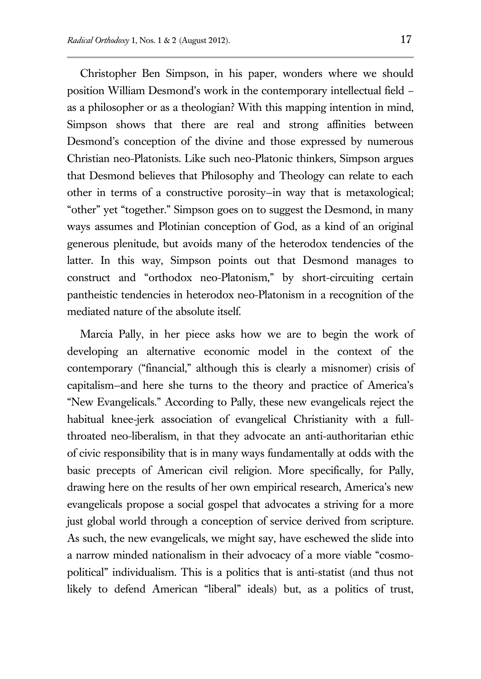Christopher Ben Simpson, in his paper, wonders where we should position William Desmond's work in the contemporary intellectual field – as a philosopher or as a theologian? With this mapping intention in mind, Simpson shows that there are real and strong affinities between Desmond's conception of the divine and those expressed by numerous Christian neo-Platonists. Like such neo-Platonic thinkers, Simpson argues that Desmond believes that Philosophy and Theology can relate to each other in terms of a constructive porosity—in way that is metaxological; "other" yet "together." Simpson goes on to suggest the Desmond, in many ways assumes and Plotinian conception of God, as a kind of an original generous plenitude, but avoids many of the heterodox tendencies of the latter. In this way, Simpson points out that Desmond manages to construct and "orthodox neo-Platonism," by short-circuiting certain pantheistic tendencies in heterodox neo-Platonism in a recognition of the mediated nature of the absolute itself.

Marcia Pally, in her piece asks how we are to begin the work of developing an alternative economic model in the context of the contemporary ("financial," although this is clearly a misnomer) crisis of capitalism—and here she turns to the theory and practice of America's "New Evangelicals." According to Pally, these new evangelicals reject the habitual knee-jerk association of evangelical Christianity with a fullthroated neo-liberalism, in that they advocate an anti-authoritarian ethic of civic responsibility that is in many ways fundamentally at odds with the basic precepts of American civil religion. More specifically, for Pally, drawing here on the results of her own empirical research, America's new evangelicals propose a social gospel that advocates a striving for a more just global world through a conception of service derived from scripture. As such, the new evangelicals, we might say, have eschewed the slide into a narrow minded nationalism in their advocacy of a more viable "cosmopolitical" individualism. This is a politics that is anti-statist (and thus not likely to defend American "liberal" ideals) but, as a politics of trust,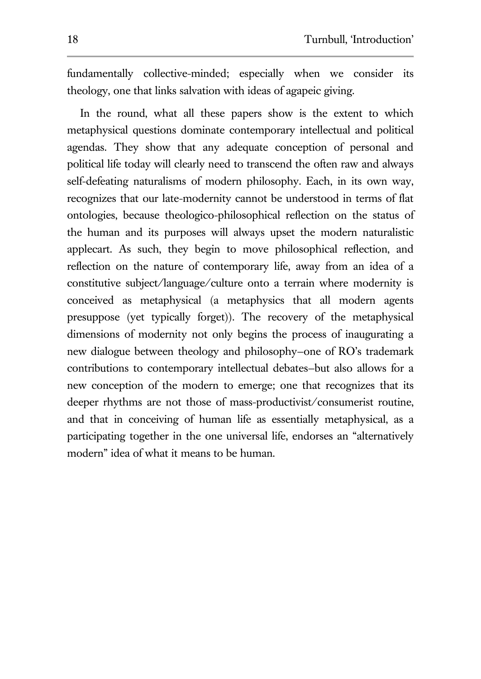fundamentally collective-minded; especially when we consider its theology, one that links salvation with ideas of agapeic giving.

In the round, what all these papers show is the extent to which metaphysical questions dominate contemporary intellectual and political agendas. They show that any adequate conception of personal and political life today will clearly need to transcend the often raw and always self-defeating naturalisms of modern philosophy. Each, in its own way, recognizes that our late-modernity cannot be understood in terms of flat ontologies, because theologico-philosophical reflection on the status of the human and its purposes will always upset the modern naturalistic applecart. As such, they begin to move philosophical reflection, and reflection on the nature of contemporary life, away from an idea of a constitutive subject/language/culture onto a terrain where modernity is conceived as metaphysical (a metaphysics that all modern agents presuppose (yet typically forget)). The recovery of the metaphysical dimensions of modernity not only begins the process of inaugurating a new dialogue between theology and philosophy—one of RO's trademark contributions to contemporary intellectual debates—but also allows for a new conception of the modern to emerge; one that recognizes that its deeper rhythms are not those of mass-productivist/consumerist routine, and that in conceiving of human life as essentially metaphysical, as a participating together in the one universal life, endorses an "alternatively modern" idea of what it means to be human.